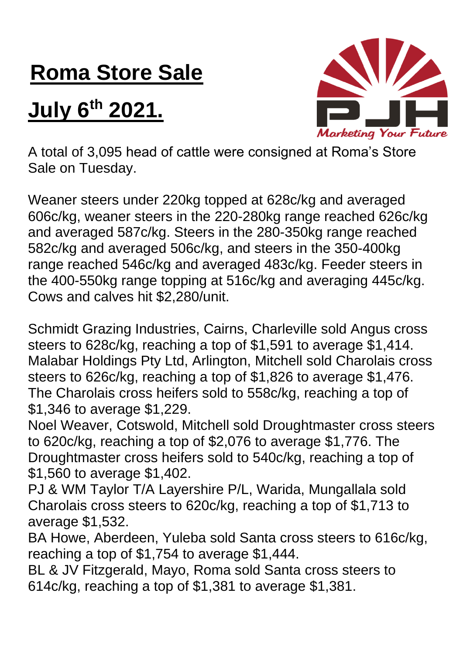## **Roma Store Sale**

## **July 6 th 2021.**



A total of 3,095 head of cattle were consigned at Roma's Store Sale on Tuesday.

Weaner steers under 220kg topped at 628c/kg and averaged 606c/kg, weaner steers in the 220-280kg range reached 626c/kg and averaged 587c/kg. Steers in the 280-350kg range reached 582c/kg and averaged 506c/kg, and steers in the 350-400kg range reached 546c/kg and averaged 483c/kg. Feeder steers in the 400-550kg range topping at 516c/kg and averaging 445c/kg. Cows and calves hit \$2,280/unit.

Schmidt Grazing Industries, Cairns, Charleville sold Angus cross steers to 628c/kg, reaching a top of \$1,591 to average \$1,414. Malabar Holdings Pty Ltd, Arlington, Mitchell sold Charolais cross steers to 626c/kg, reaching a top of \$1,826 to average \$1,476. The Charolais cross heifers sold to 558c/kg, reaching a top of \$1,346 to average \$1,229.

Noel Weaver, Cotswold, Mitchell sold Droughtmaster cross steers to 620c/kg, reaching a top of \$2,076 to average \$1,776. The Droughtmaster cross heifers sold to 540c/kg, reaching a top of \$1,560 to average \$1,402.

PJ & WM Taylor T/A Layershire P/L, Warida, Mungallala sold Charolais cross steers to 620c/kg, reaching a top of \$1,713 to average \$1,532.

BA Howe, Aberdeen, Yuleba sold Santa cross steers to 616c/kg, reaching a top of \$1,754 to average \$1,444.

BL & JV Fitzgerald, Mayo, Roma sold Santa cross steers to 614c/kg, reaching a top of \$1,381 to average \$1,381.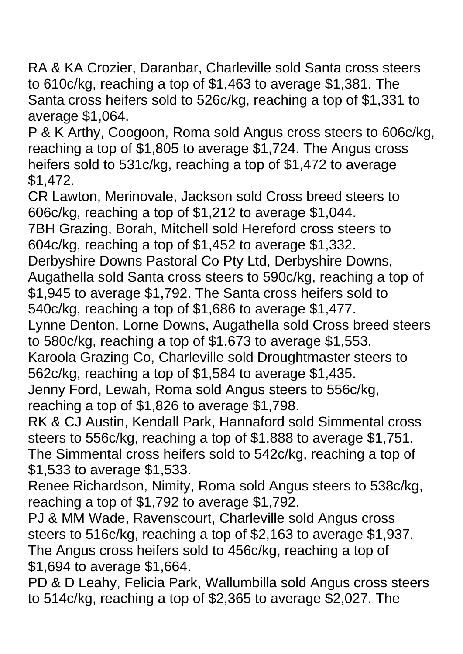RA & KA Crozier, Daranbar, Charleville sold Santa cross steers to 610c/kg, reaching a top of \$1,463 to average \$1,381. The Santa cross heifers sold to 526c/kg, reaching a top of \$1,331 to average \$1,064.

P & K Arthy, Coogoon, Roma sold Angus cross steers to 606c/kg, reaching a top of \$1,805 to average \$1,724. The Angus cross heifers sold to 531c/kg, reaching a top of \$1,472 to average \$1,472.

CR Lawton, Merinovale, Jackson sold Cross breed steers to 606c/kg, reaching a top of \$1,212 to average \$1,044.

7BH Grazing, Borah, Mitchell sold Hereford cross steers to 604c/kg, reaching a top of \$1,452 to average \$1,332.

Derbyshire Downs Pastoral Co Pty Ltd, Derbyshire Downs,

Augathella sold Santa cross steers to 590c/kg, reaching a top of \$1,945 to average \$1,792. The Santa cross heifers sold to 540c/kg, reaching a top of \$1,686 to average \$1,477.

Lynne Denton, Lorne Downs, Augathella sold Cross breed steers to 580c/kg, reaching a top of \$1,673 to average \$1,553.

Karoola Grazing Co, Charleville sold Droughtmaster steers to 562c/kg, reaching a top of \$1,584 to average \$1,435.

Jenny Ford, Lewah, Roma sold Angus steers to 556c/kg, reaching a top of \$1,826 to average \$1,798.

RK & CJ Austin, Kendall Park, Hannaford sold Simmental cross steers to 556c/kg, reaching a top of \$1,888 to average \$1,751. The Simmental cross heifers sold to 542c/kg, reaching a top of \$1,533 to average \$1,533.

Renee Richardson, Nimity, Roma sold Angus steers to 538c/kg, reaching a top of \$1,792 to average \$1,792.

PJ & MM Wade, Ravenscourt, Charleville sold Angus cross steers to 516c/kg, reaching a top of \$2,163 to average \$1,937. The Angus cross heifers sold to 456c/kg, reaching a top of \$1,694 to average \$1,664.

PD & D Leahy, Felicia Park, Wallumbilla sold Angus cross steers to 514c/kg, reaching a top of \$2,365 to average \$2,027. The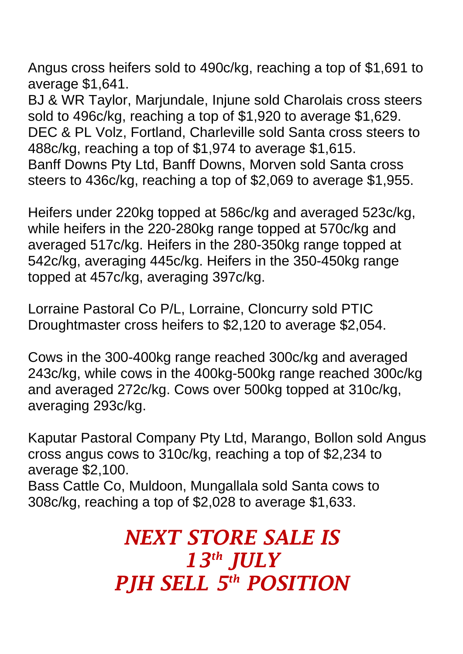Angus cross heifers sold to 490c/kg, reaching a top of \$1,691 to average \$1,641.

BJ & WR Taylor, Marjundale, Injune sold Charolais cross steers sold to 496c/kg, reaching a top of \$1,920 to average \$1,629. DEC & PL Volz, Fortland, Charleville sold Santa cross steers to 488c/kg, reaching a top of \$1,974 to average \$1,615. Banff Downs Pty Ltd, Banff Downs, Morven sold Santa cross steers to 436c/kg, reaching a top of \$2,069 to average \$1,955.

Heifers under 220kg topped at 586c/kg and averaged 523c/kg, while heifers in the 220-280kg range topped at 570c/kg and averaged 517c/kg. Heifers in the 280-350kg range topped at 542c/kg, averaging 445c/kg. Heifers in the 350-450kg range topped at 457c/kg, averaging 397c/kg.

Lorraine Pastoral Co P/L, Lorraine, Cloncurry sold PTIC Droughtmaster cross heifers to \$2,120 to average \$2,054.

Cows in the 300-400kg range reached 300c/kg and averaged 243c/kg, while cows in the 400kg-500kg range reached 300c/kg and averaged 272c/kg. Cows over 500kg topped at 310c/kg, averaging 293c/kg.

Kaputar Pastoral Company Pty Ltd, Marango, Bollon sold Angus cross angus cows to 310c/kg, reaching a top of \$2,234 to average \$2,100.

Bass Cattle Co, Muldoon, Mungallala sold Santa cows to 308c/kg, reaching a top of \$2,028 to average \$1,633.

> *NEXT STORE SALE IS 13th JULY PJH SELL 5 th POSITION*